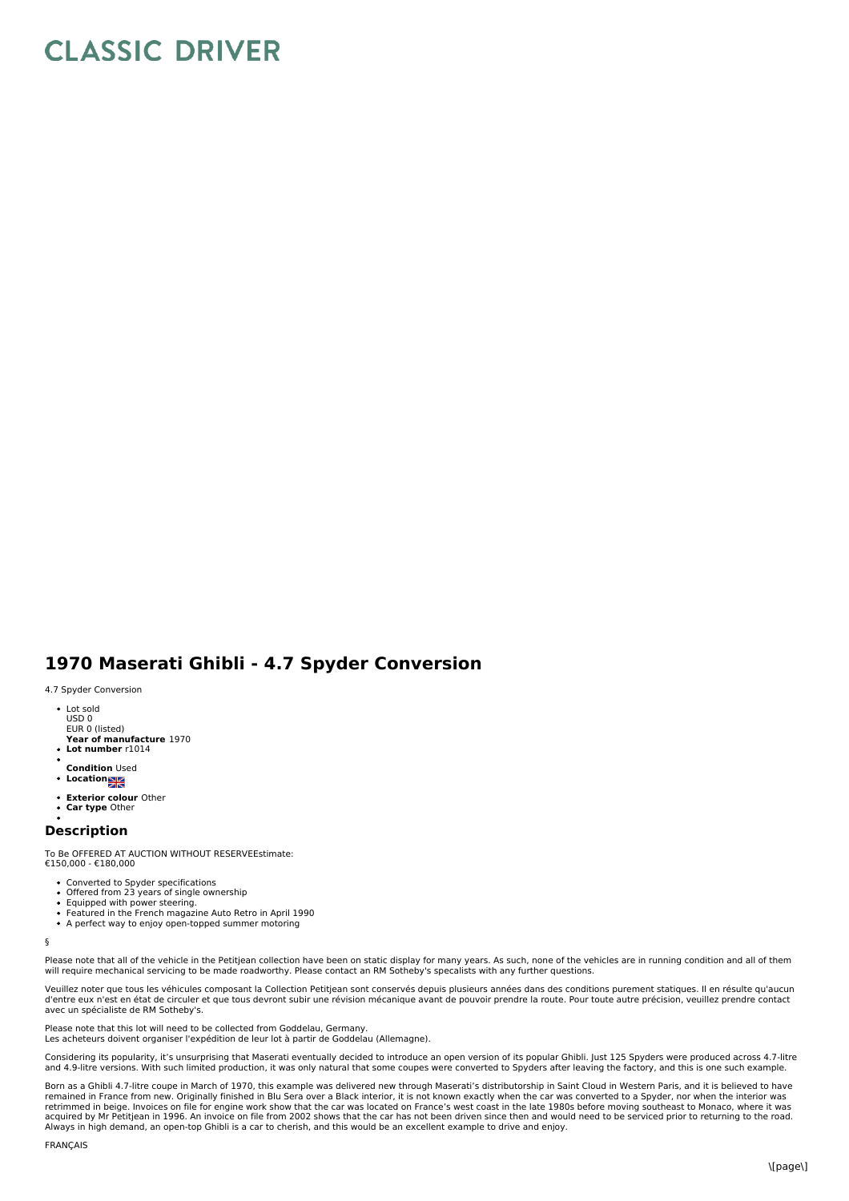## **CLASSIC DRIVER**

## **1970 Maserati Ghibli - 4.7 Spyder Conversion**

4.7 Spyder Conversion

- Lot sold USD 0 EUR 0 (listed)
- **Year of manufacture** 1970
- **Lot number** r1014
- **Condition** Used
- **Location**
- **Exterior colour** Other
- **Car type** Other

## **Description**

To Be OFFERED AT AUCTION WITHOUT RESERVEEstimate: €150,000 - €180,000

- Converted to Spyder specifications
- Offered from 23 years of single ownership
- Equipped with power steering.
- Featured in the French magazine Auto Retro in April 1990
- A perfect way to enjoy open-topped summer motoring

§

Please note that all of the vehicle in the Petitjean collection have been on static display for many years. As such, none of the vehicles are in running condition and all of them will require mechanical servicing to be made roadworthy. Please contact an RM Sotheby's specalists with any further questions.

Veuillez noter que tous les véhicules composant la Collection Petitjean sont conservés depuis plusieurs années dans des conditions purement statiques. Il en résulte qu'aucun d'entre eux n'est en état de circuler et que tous devront subir une révision mécanique avant de pouvoir prendre la route. Pour toute autre précision, veuillez prendre contact<br>avec un spécialiste de RM Sotheby's.

Please note that this lot will need to be collected from Goddelau, Germany. Les acheteurs doivent organiser l'expédition de leur lot à partir de Goddelau (Allemagne).

Considering its popularity, it's unsurprising that Maserati eventually decided to introduce an open version of its popular Ghibli. Just 125 Spyders were produced across 4.7-litre and 4.9-litre versions. With such limited production, it was only natural that some coupes were converted to Spyders after leaving the factory, and this is one such example.

Born as a Ghibli 4.7-litre coupe in March of 1970, this example was delivered new through Maserati's distributorship in Saint Cloud in Western Paris, and it is believed to have remained in France from new. Originally finished in Blu Sera over a Black interior, it is not known exactly when the car was converted to a Spyder, nor when the interior was retrimmed in beige. Invoices on file for engine work show that the car was located on France's west coast in the late 1980s before moving southeast to Monaco, where it was<br>acquired by Mr Petitjean in 1996. An invoice on fi Always in high demand, an open-top Ghibli is a car to cherish, and this would be an excellent example to drive and enjoy.